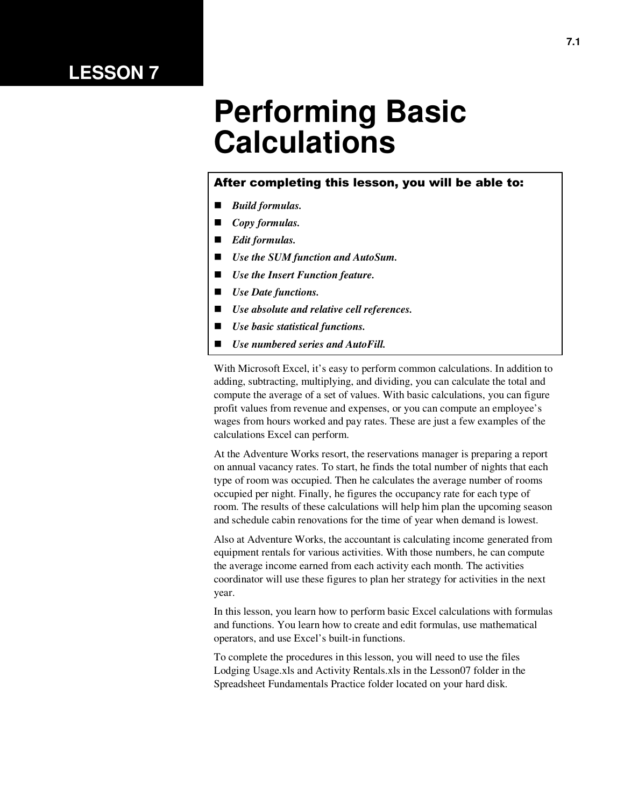## **LESSON 7**

# **Performing Basic Calculations**

#### After completing this lesson, you will be able to:

- *Build formulas.*
- *Copy formulas.*
- *Edit formulas.*
- *Use the SUM function and AutoSum.*
- *Use the Insert Function feature.*
- *Use Date functions.*
- *Use absolute and relative cell references.*
- *Use basic statistical functions.*
- *Use numbered series and AutoFill.*

With Microsoft Excel, it's easy to perform common calculations. In addition to adding, subtracting, multiplying, and dividing, you can calculate the total and compute the average of a set of values. With basic calculations, you can figure profit values from revenue and expenses, or you can compute an employee's wages from hours worked and pay rates. These are just a few examples of the calculations Excel can perform.

At the Adventure Works resort, the reservations manager is preparing a report on annual vacancy rates. To start, he finds the total number of nights that each type of room was occupied. Then he calculates the average number of rooms occupied per night. Finally, he figures the occupancy rate for each type of room. The results of these calculations will help him plan the upcoming season and schedule cabin renovations for the time of year when demand is lowest.

Also at Adventure Works, the accountant is calculating income generated from equipment rentals for various activities. With those numbers, he can compute the average income earned from each activity each month. The activities coordinator will use these figures to plan her strategy for activities in the next year.

In this lesson, you learn how to perform basic Excel calculations with formulas and functions. You learn how to create and edit formulas, use mathematical operators, and use Excel's built-in functions.

To complete the procedures in this lesson, you will need to use the files Lodging Usage.xls and Activity Rentals.xls in the Lesson07 folder in the Spreadsheet Fundamentals Practice folder located on your hard disk.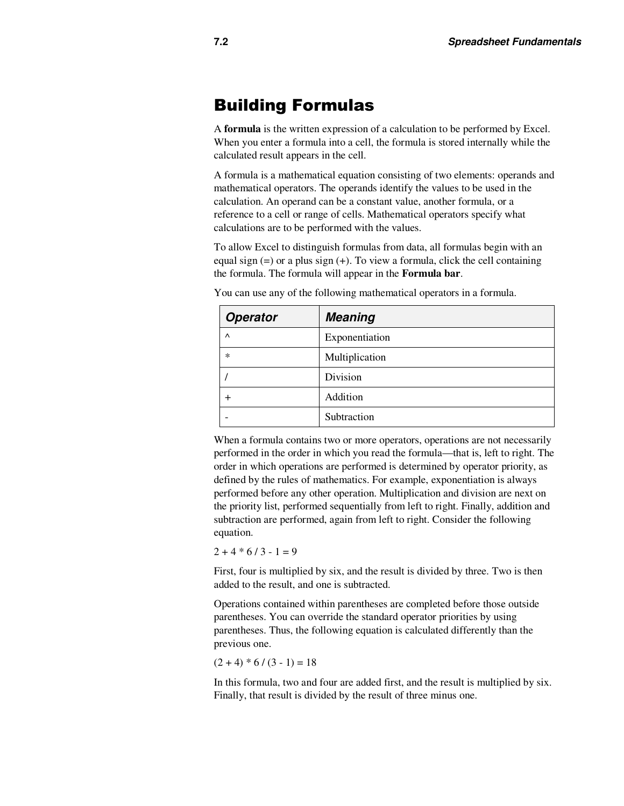### Building Formulas

A **formula** is the written expression of a calculation to be performed by Excel. When you enter a formula into a cell, the formula is stored internally while the calculated result appears in the cell.

A formula is a mathematical equation consisting of two elements: operands and mathematical operators. The operands identify the values to be used in the calculation. An operand can be a constant value, another formula, or a reference to a cell or range of cells. Mathematical operators specify what calculations are to be performed with the values.

To allow Excel to distinguish formulas from data, all formulas begin with an equal sign  $(=)$  or a plus sign  $(+)$ . To view a formula, click the cell containing the formula. The formula will appear in the **Formula bar**.

| <b>Operator</b> | <b>Meaning</b> |
|-----------------|----------------|
| $\wedge$        | Exponentiation |
| $\ast$          | Multiplication |
|                 | Division       |
| ┿               | Addition       |
|                 | Subtraction    |

You can use any of the following mathematical operators in a formula.

When a formula contains two or more operators, operations are not necessarily performed in the order in which you read the formula—that is, left to right. The order in which operations are performed is determined by operator priority, as defined by the rules of mathematics. For example, exponentiation is always performed before any other operation. Multiplication and division are next on the priority list, performed sequentially from left to right. Finally, addition and subtraction are performed, again from left to right. Consider the following equation.

 $2 + 4 * 6 / 3 - 1 = 9$ 

First, four is multiplied by six, and the result is divided by three. Two is then added to the result, and one is subtracted.

Operations contained within parentheses are completed before those outside parentheses. You can override the standard operator priorities by using parentheses. Thus, the following equation is calculated differently than the previous one.

 $(2 + 4) * 6 / (3 - 1) = 18$ 

In this formula, two and four are added first, and the result is multiplied by six. Finally, that result is divided by the result of three minus one.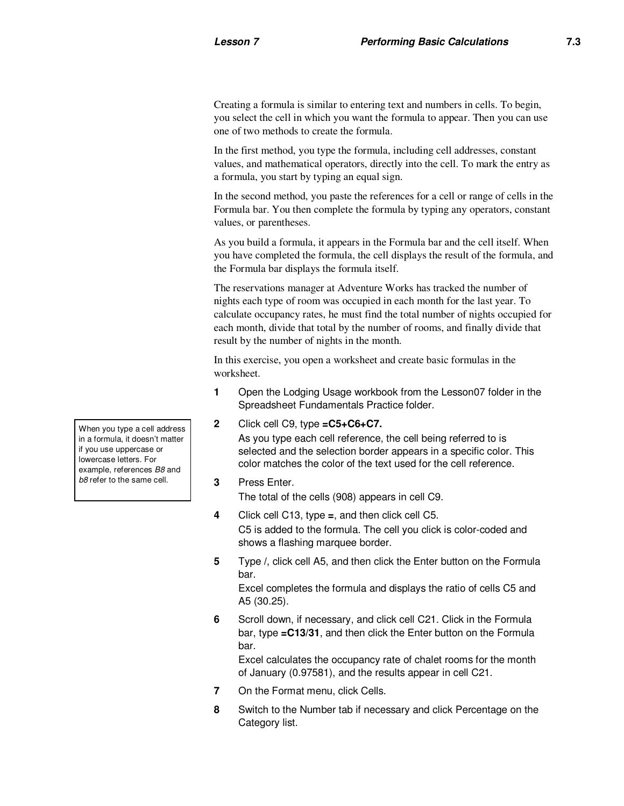Creating a formula is similar to entering text and numbers in cells. To begin, you select the cell in which you want the formula to appear. Then you can use one of two methods to create the formula.

In the first method, you type the formula, including cell addresses, constant values, and mathematical operators, directly into the cell. To mark the entry as a formula, you start by typing an equal sign.

In the second method, you paste the references for a cell or range of cells in the Formula bar. You then complete the formula by typing any operators, constant values, or parentheses.

As you build a formula, it appears in the Formula bar and the cell itself. When you have completed the formula, the cell displays the result of the formula, and the Formula bar displays the formula itself.

The reservations manager at Adventure Works has tracked the number of nights each type of room was occupied in each month for the last year. To calculate occupancy rates, he must find the total number of nights occupied for each month, divide that total by the number of rooms, and finally divide that result by the number of nights in the month.

In this exercise, you open a worksheet and create basic formulas in the worksheet.

- **1** Open the Lodging Usage workbook from the Lesson07 folder in the Spreadsheet Fundamentals Practice folder.
- **2** Click cell C9, type **=C5+C6+C7.**

As you type each cell reference, the cell being referred to is selected and the selection border appears in a specific color. This color matches the color of the text used for the cell reference.

**3** Press Enter.

The total of the cells (908) appears in cell C9.

- **4** Click cell C13, type **=**, and then click cell C5. C5 is added to the formula. The cell you click is color-coded and shows a flashing marquee border.
- **5** Type **/**, click cell A5, and then click the Enter button on the Formula bar.

Excel completes the formula and displays the ratio of cells C5 and A5 (30.25).

**6** Scroll down, if necessary, and click cell C21. Click in the Formula bar, type **=C13/31**, and then click the Enter button on the Formula bar.

Excel calculates the occupancy rate of chalet rooms for the month of January (0.97581), and the results appear in cell C21.

- **7** On the Format menu, click Cells.
- **8** Switch to the Number tab if necessary and click Percentage on the Category list.

When you type a cell address in a formula, it doesn't matter if you use uppercase or lowercase letters. For example, references B8 and b8 refer to the same cell.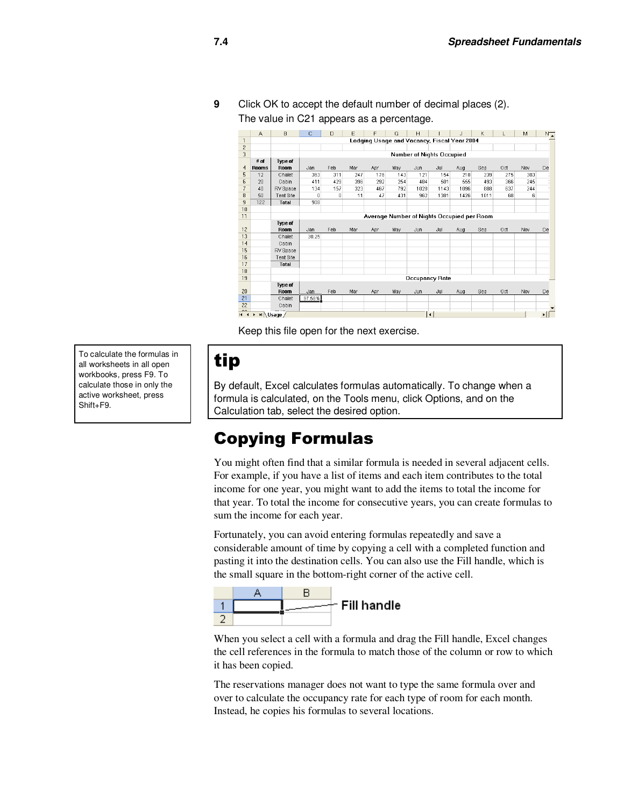**9** Click OK to accept the default number of decimal places (2). The value in C21 appears as a percentage.

|                          | A                     | B                     | Ċ      | D                                          | E   | F   | G   | H    |                                  | J                                           | K    |     | M   | $N_{\bullet}$ |
|--------------------------|-----------------------|-----------------------|--------|--------------------------------------------|-----|-----|-----|------|----------------------------------|---------------------------------------------|------|-----|-----|---------------|
| 1                        |                       |                       |        |                                            |     |     |     |      |                                  | Lodging Usage and Vacancy, Fiscal Year 2004 |      |     |     |               |
| $\overline{c}$           |                       |                       |        |                                            |     |     |     |      |                                  |                                             |      |     |     |               |
| 3                        |                       |                       |        |                                            |     |     |     |      | <b>Number of Nights Occupied</b> |                                             |      |     |     |               |
|                          | $#$ of                | <b>Type of</b>        |        |                                            |     |     |     |      |                                  |                                             |      |     |     |               |
| 4                        | Rooms                 | Room                  | Jan    | Feb                                        | Mar | Apr | May | Jun  | Jul                              | Aug                                         | Sep  | Oct | Nov | De            |
| 5                        | 12                    | Chalet                | 363    | 311                                        | 247 | 176 | 143 | 121  | 154                              | 218                                         | 239  | 275 | 303 |               |
| 6                        | 20                    | Cabin                 | 411    | 429                                        | 396 | 292 | 254 | 484  | 501                              | 555                                         | 493  | 366 | 245 |               |
| $\overline{\phantom{a}}$ | 40                    | RV Space              | 134    | 157                                        | 323 | 467 | 792 | 1028 | 1143                             | 1096                                        | 888  | 637 | 244 |               |
| 8                        | 50                    | <b>Tent Site</b>      | ۵      | 0                                          | 11  | 47  | 431 | 962  | 1381                             | 1426                                        | 1011 | 68  | 6   |               |
| 9                        | 122                   | Total                 | 908    |                                            |     |     |     |      |                                  |                                             |      |     |     |               |
| 10                       |                       |                       |        |                                            |     |     |     |      |                                  |                                             |      |     |     |               |
| 11                       |                       |                       |        | Average Number of Nights Occupied per Room |     |     |     |      |                                  |                                             |      |     |     |               |
|                          |                       | <b>Type of</b>        |        |                                            |     |     |     |      |                                  |                                             |      |     |     |               |
| 12                       |                       | Room                  | Jan    | Feb                                        | Mar | Apr | May | Jun  | Jul                              | Aug                                         | Sep  | Oct | Nov | De            |
| 13                       |                       | Chalet                | 30.25  |                                            |     |     |     |      |                                  |                                             |      |     |     |               |
| 14                       |                       | Cabin                 |        |                                            |     |     |     |      |                                  |                                             |      |     |     |               |
| 15                       |                       | RV Space              |        |                                            |     |     |     |      |                                  |                                             |      |     |     |               |
| 16                       |                       | <b>Tent Site</b>      |        |                                            |     |     |     |      |                                  |                                             |      |     |     |               |
| 17                       |                       | Total                 |        |                                            |     |     |     |      |                                  |                                             |      |     |     |               |
| 18                       |                       |                       |        |                                            |     |     |     |      |                                  |                                             |      |     |     |               |
| 19                       |                       |                       |        |                                            |     |     |     |      | <b>Occupancy Rate</b>            |                                             |      |     |     |               |
|                          |                       | Type of               |        |                                            |     |     |     |      |                                  |                                             |      |     |     |               |
| 20                       |                       | Room                  | Jan    | Feb                                        | Mar | Apr | May | Jun  | Jul                              | Aug                                         | Sep  | Oct | Nov | De            |
| 21                       |                       | Chalet                | 97.58% |                                            |     |     |     |      |                                  |                                             |      |     |     |               |
| 22                       |                       | Cabin                 |        |                                            |     |     |     |      |                                  |                                             |      |     |     |               |
| 00<br>$\blacksquare$     | $\blacktriangleright$ | $H \setminus$ Usage / |        |                                            |     |     |     |      | $\blacktriangleleft$             |                                             |      |     |     |               |

Keep this file open for the next exercise.

To calculate the formulas in all worksheets in all open workbooks, press F9. To calculate those in only the active worksheet, press Shift+F9.

## tip

By default, Excel calculates formulas automatically. To change when a formula is calculated, on the Tools menu, click Options, and on the Calculation tab, select the desired option.

## Copying Formulas

You might often find that a similar formula is needed in several adjacent cells. For example, if you have a list of items and each item contributes to the total income for one year, you might want to add the items to total the income for that year. To total the income for consecutive years, you can create formulas to sum the income for each year.

Fortunately, you can avoid entering formulas repeatedly and save a considerable amount of time by copying a cell with a completed function and pasting it into the destination cells. You can also use the Fill handle, which is the small square in the bottom-right corner of the active cell.



When you select a cell with a formula and drag the Fill handle, Excel changes the cell references in the formula to match those of the column or row to which it has been copied.

The reservations manager does not want to type the same formula over and over to calculate the occupancy rate for each type of room for each month. Instead, he copies his formulas to several locations.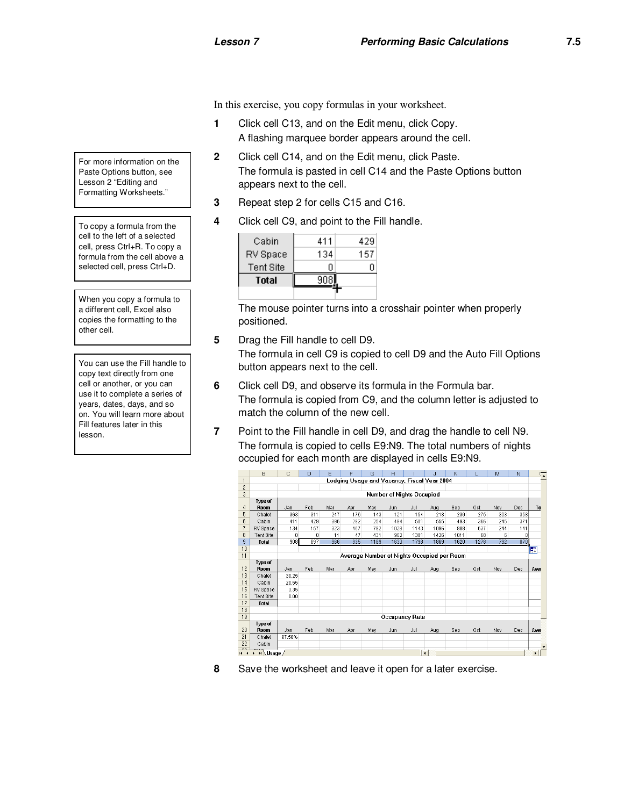In this exercise, you copy formulas in your worksheet.

- **1** Click cell C13, and on the Edit menu, click Copy. A flashing marquee border appears around the cell.
- **2** Click cell C14, and on the Edit menu, click Paste. The formula is pasted in cell C14 and the Paste Options button appears next to the cell.
- **3** Repeat step 2 for cells C15 and C16.
- **4** Click cell C9, and point to the Fill handle.

| Cabin            | 411 | 429 |
|------------------|-----|-----|
| RV Space         | 134 | 157 |
| <b>Tent Site</b> | п   |     |
| Total            |     |     |
|                  |     |     |

The mouse pointer turns into a crosshair pointer when properly positioned.

**5** Drag the Fill handle to cell D9.

The formula in cell C9 is copied to cell D9 and the Auto Fill Options button appears next to the cell.

- **6** Click cell D9, and observe its formula in the Formula bar. The formula is copied from C9, and the column letter is adjusted to match the column of the new cell.
- **7** Point to the Fill handle in cell D9, and drag the handle to cell N9. The formula is copied to cells E9:N9. The total numbers of nights occupied for each month are displayed in cells E9:N9.



**8** Save the worksheet and leave it open for a later exercise.

For more information on the Paste Options button, see Lesson 2 "Editing and Formatting Worksheets."

To copy a formula from the cell to the left of a selected cell, press Ctrl+R. To copy a formula from the cell above a selected cell, press Ctrl+D.

When you copy a formula to a different cell, Excel also copies the formatting to the other cell.

You can use the Fill handle to copy text directly from one cell or another, or you can use it to complete a series of years, dates, days, and so on. You will learn more about Fill features later in this lesson.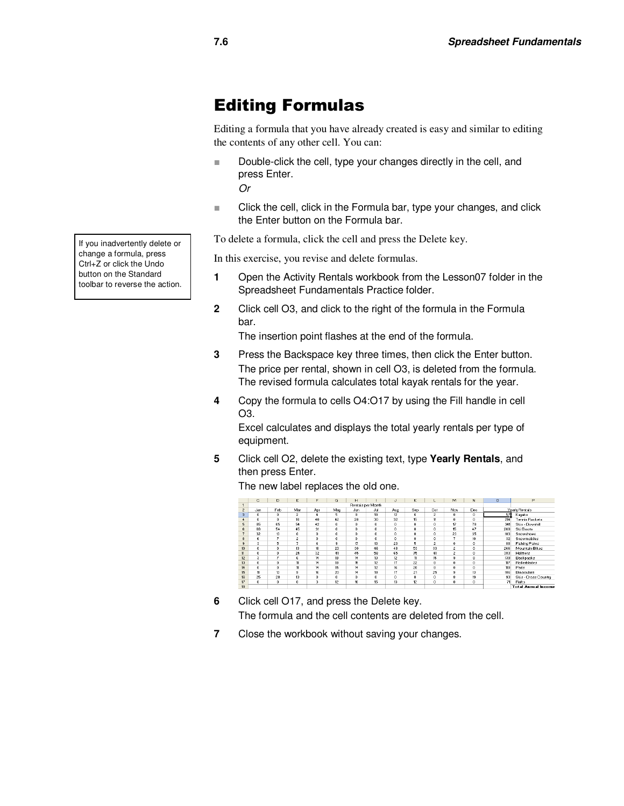## Editing Formulas

Editing a formula that you have already created is easy and similar to editing the contents of any other cell. You can:

■ Double-click the cell, type your changes directly in the cell, and press Enter.

Or

■ Click the cell, click in the Formula bar, type your changes, and click the Enter button on the Formula bar.

To delete a formula, click the cell and press the Delete key.

In this exercise, you revise and delete formulas.

- **1** Open the Activity Rentals workbook from the Lesson07 folder in the Spreadsheet Fundamentals Practice folder.
- **2** Click cell O3, and click to the right of the formula in the Formula bar.

The insertion point flashes at the end of the formula.

- **3** Press the Backspace key three times, then click the Enter button. The price per rental, shown in cell O3, is deleted from the formula. The revised formula calculates total kayak rentals for the year.
- **4** Copy the formula to cells O4:O17 by using the Fill handle in cell O3.

Excel calculates and displays the total yearly rentals per type of equipment.

**5** Click cell O2, delete the existing text, type **Yearly Rentals**, and then press Enter.

|                | с   | D            | Ε              | F   | G   | H                   |                   | J.  | K        | ш              | M              | N            | $\circ$ | P                          |
|----------------|-----|--------------|----------------|-----|-----|---------------------|-------------------|-----|----------|----------------|----------------|--------------|---------|----------------------------|
|                |     |              |                |     |     |                     | Rentals per Month |     |          |                |                |              |         |                            |
| $\overline{c}$ | Jan | Feb          | Mar            | Apr | Mau | Jun                 | Jul               | Aug | Sep      | Oct            | Nov            | Dec          |         | Yearly Rentals             |
| $\overline{3}$ | 0   | 0            | $\overline{c}$ | 4   | 5   | 8                   | 18                | 12  | 6        | $\overline{2}$ | 0              | $^{\circ}$   | 57      | Kayaks                     |
| 4              | 0   | 0            | 16             | 40  | 42  | 28                  | 30                | 32  | 15       | 11             | o.             | 0            | 214     | Tennis Rackets             |
| 5              | 85  | 65           | 54             | 42  | 0   | $\bf{0}$            | $\bf{0}$          | 0   | $\theta$ | $\bf{0}$       | 17             | 78           | 341     | Skis - Downhill            |
| 6              | 68  | 54           | 45             | 31  | 0   | 0.                  | $\mathbf{0}$      | 0.  | o        | $\mathbf{0}$   | 15             | 47           | 260     | Ski Boots                  |
| 7              | 32  | 13           | $\bf{0}$       | 0   | 0   | $\ddot{\mathbf{0}}$ | $\bf{0}$          | 0   | $\theta$ | $\mathbf{0}$   | 23             | 35           | 103     | Snowshoes                  |
| 8              | 6   | ÷            | $\overline{c}$ | 0   | 0   | 0.                  | $\mathbf{0}$      | n   | 0        | $\mathbf{0}$   | ٠              | 10           | 32      | Snowmobiles                |
| $\bf{3}$       | 3   | 5            | z              | 4   | 9   | 17                  | 13                | 23  | 5        | $\overline{c}$ | 0              | $\bf{0}$     | 88      | <b>Fishing Poles</b>       |
| 10             | 0   | 0            | 13             | 18  | 23  | 30                  | 46                | 48  | 53       | 33             | $\overline{c}$ | 0            | 266     | Mountain Bikes             |
| 11             | 0   | 0            | 24             | 32  | 41  | 45                  | 58                | 65  | 75       | 41             | $\overline{c}$ | 0            | 383     | Helmets                    |
| 12             | 3   | 7            | 6              | 14  | 18  | 14                  | 13                | 12  | 11       | 15             | 9              | 8            | 130     | Backbacks                  |
| 13             | 0   | $^{\circ}$   | 11             | 14  | 18  | 15                  | 12                | 17  | 22       | 8              | 0              | $\mathbf{0}$ | 117     | <b>Rollerblades</b>        |
| 14             | 0   | 0            | 11             | 14  | 15  | 14                  | 12                | 16  | 20       | 8              | 0.             | 0            | 110     | Pads                       |
| 15             | 11  | 13           | 3              | 16  | 20  | 14                  | 18                | 17  | 21       | 25             | 9              | 13           | 186     | <b>Binoculars</b>          |
| 16             | 25  | 28           | 13             | 0   | 0   | $\theta$            | $\mathbf{0}$      | 0   | $\theta$ | $\mathbf{0}$   | 8              | 19           | 93      | Skis - Cross Countru       |
| 17             | 0   | $\mathbf{0}$ | $\theta$       | 3   | 12  | 16                  | 15                | 13  | 12       | $\Omega$       | 0              | $\mathbf{0}$ | 71      | <b>Bafts</b>               |
| 18             |     |              |                |     |     |                     |                   |     |          |                |                |              |         | <b>Total Annual Income</b> |

The new label replaces the old one.

**6** Click cell O17, and press the Delete key. The formula and the cell contents are deleted from the cell.

**7** Close the workbook without saving your changes.

If you inadvertently delete or change a formula, press Ctrl+Z or click the Undo button on the Standard toolbar to reverse the action.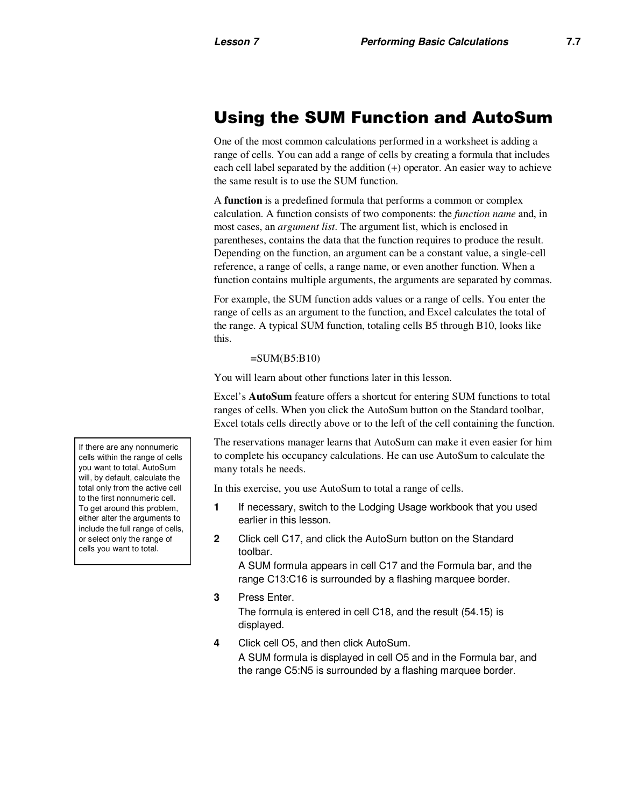## Using the SUM Function and AutoSum

One of the most common calculations performed in a worksheet is adding a range of cells. You can add a range of cells by creating a formula that includes each cell label separated by the addition (+) operator. An easier way to achieve the same result is to use the SUM function.

A **function** is a predefined formula that performs a common or complex calculation. A function consists of two components: the *function name* and, in most cases, an *argument list*. The argument list, which is enclosed in parentheses, contains the data that the function requires to produce the result. Depending on the function, an argument can be a constant value, a single-cell reference, a range of cells, a range name, or even another function. When a function contains multiple arguments, the arguments are separated by commas.

For example, the SUM function adds values or a range of cells. You enter the range of cells as an argument to the function, and Excel calculates the total of the range. A typical SUM function, totaling cells B5 through B10, looks like this.

#### $=SUM(B5:B10)$

You will learn about other functions later in this lesson.

Excel's **AutoSum** feature offers a shortcut for entering SUM functions to total ranges of cells. When you click the AutoSum button on the Standard toolbar, Excel totals cells directly above or to the left of the cell containing the function.

The reservations manager learns that AutoSum can make it even easier for him to complete his occupancy calculations. He can use AutoSum to calculate the many totals he needs.

In this exercise, you use AutoSum to total a range of cells.

- **1** If necessary, switch to the Lodging Usage workbook that you used earlier in this lesson.
- **2** Click cell C17, and click the AutoSum button on the Standard toolbar.

A SUM formula appears in cell C17 and the Formula bar, and the range C13:C16 is surrounded by a flashing marquee border.

- **3** Press Enter. The formula is entered in cell C18, and the result (54.15) is displayed.
- **4** Click cell O5, and then click AutoSum.

A SUM formula is displayed in cell O5 and in the Formula bar, and the range C5:N5 is surrounded by a flashing marquee border.

If there are any nonnumeric cells within the range of cells you want to total, AutoSum will, by default, calculate the total only from the active cell to the first nonnumeric cell. To get around this problem, either alter the arguments to include the full range of cells, or select only the range of cells you want to total.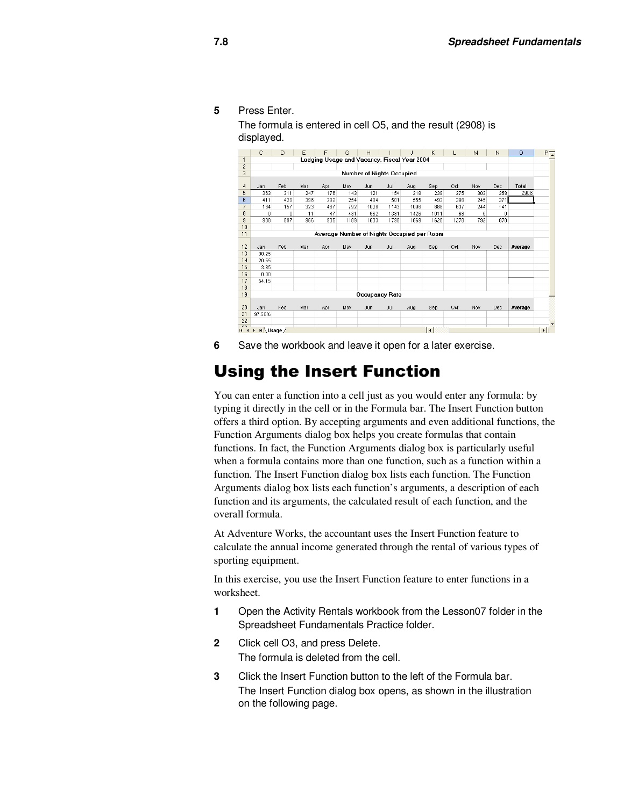**5** Press Enter.

The formula is entered in cell O5, and the result (2908) is displayed.

|                | C                          | D   | E   | F                                           | G    | н    |                           | J    | K              |      | M   | N           | $\circ$ | P- |
|----------------|----------------------------|-----|-----|---------------------------------------------|------|------|---------------------------|------|----------------|------|-----|-------------|---------|----|
| $\mathbf{1}$   |                            |     |     | Lodging Usage and Vacancy, Fiscal Year 2004 |      |      |                           |      |                |      |     |             |         |    |
| $\overline{c}$ |                            |     |     |                                             |      |      |                           |      |                |      |     |             |         |    |
| 3              |                            |     |     |                                             |      |      | Number of Nights Occupied |      |                |      |     |             |         |    |
|                |                            |     |     |                                             |      |      |                           |      |                |      |     |             |         |    |
| $\overline{4}$ | Jan                        | Feb | Mar | Apr                                         | May  | Jun. | Jul                       | Aug  | Sep            | Oct  | Nov | Dec         | Total   |    |
| 5              | 363                        | 311 | 247 | 176                                         | 143  | 121  | 154                       | 218  | 239            | 275  | 303 | 358         | 2908    |    |
| 6              | 411                        | 429 | 396 | 292                                         | 254  | 484  | 501                       | 555  | 493            | 366  | 245 | 371         |         |    |
| 7              | 134                        | 157 | 323 | 467                                         | 792  | 1028 | 1143                      | 1096 | 888            | 637  | 244 | 141         |         |    |
| 8              | $\Omega$                   | 0   | 11  | 47                                          | 431  | 962  | 1381                      | 1426 | 1011           | 68   | 6   | $\mathbf 0$ |         |    |
| 9              | 908                        | 897 | 966 | 935                                         | 1189 | 1633 | 1798                      | 1869 | 1620           | 1278 | 792 | 870         |         |    |
| 10             |                            |     |     |                                             |      |      |                           |      |                |      |     |             |         |    |
| 11             |                            |     |     | Average Number of Nights Occupied per Room  |      |      |                           |      |                |      |     |             |         |    |
|                |                            |     |     |                                             |      |      |                           |      |                |      |     |             |         |    |
| 12             | Jan                        | Feb | Mar | Apr                                         | May  | Jun  | Jul                       | Aug  | Sep            | Oct  | Nov | Dec         | Average |    |
| 13             | 30.25                      |     |     |                                             |      |      |                           |      |                |      |     |             |         |    |
| 14             | 20.55                      |     |     |                                             |      |      |                           |      |                |      |     |             |         |    |
| 15             | 3.35                       |     |     |                                             |      |      |                           |      |                |      |     |             |         |    |
| 16             | 0.00                       |     |     |                                             |      |      |                           |      |                |      |     |             |         |    |
| 17             | 54.15                      |     |     |                                             |      |      |                           |      |                |      |     |             |         |    |
| 18             |                            |     |     |                                             |      |      |                           |      |                |      |     |             |         |    |
| 19             |                            |     |     |                                             |      |      | <b>Occupancy Rate</b>     |      |                |      |     |             |         |    |
|                |                            |     |     |                                             |      |      |                           |      |                |      |     |             |         |    |
| 20             | Jan                        | Feb | Mar | Apr                                         | May  | Jun  | Jul                       | Aug  | Sep            | Oct  | Nov | Dec         | Average |    |
| 21             | 97.58%                     |     |     |                                             |      |      |                           |      |                |      |     |             |         |    |
| 22<br>$\sim$   |                            |     |     |                                             |      |      |                           |      |                |      |     |             |         |    |
| $\blacksquare$ | $H \setminus$ Usage /<br>٠ |     |     |                                             |      |      |                           |      | $\overline{1}$ |      |     |             |         |    |

**6** Save the workbook and leave it open for a later exercise.

## Using the Insert Function

You can enter a function into a cell just as you would enter any formula: by typing it directly in the cell or in the Formula bar. The Insert Function button offers a third option. By accepting arguments and even additional functions, the Function Arguments dialog box helps you create formulas that contain functions. In fact, the Function Arguments dialog box is particularly useful when a formula contains more than one function, such as a function within a function. The Insert Function dialog box lists each function. The Function Arguments dialog box lists each function's arguments, a description of each function and its arguments, the calculated result of each function, and the overall formula.

At Adventure Works, the accountant uses the Insert Function feature to calculate the annual income generated through the rental of various types of sporting equipment.

In this exercise, you use the Insert Function feature to enter functions in a worksheet.

- **1** Open the Activity Rentals workbook from the Lesson07 folder in the Spreadsheet Fundamentals Practice folder.
- **2** Click cell O3, and press Delete. The formula is deleted from the cell.
- **3** Click the Insert Function button to the left of the Formula bar. The Insert Function dialog box opens, as shown in the illustration on the following page.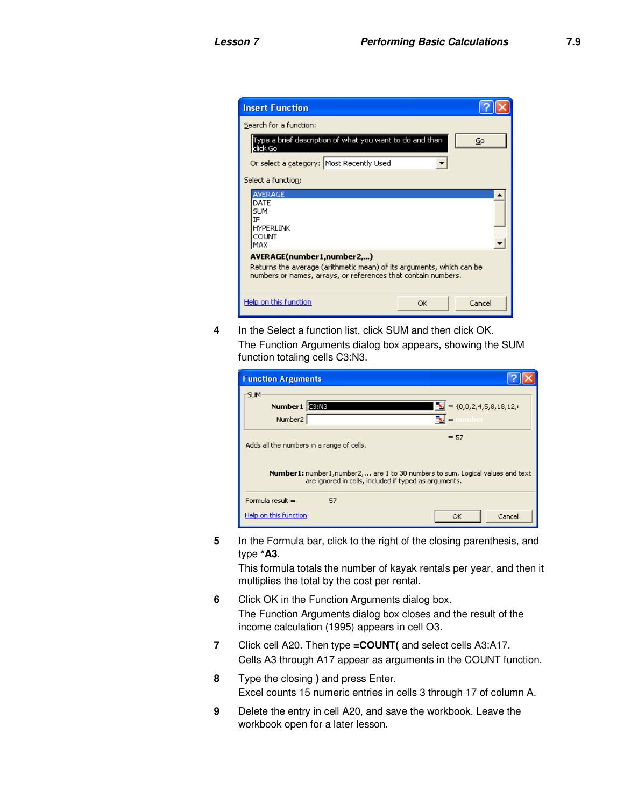| <b>Insert Function</b>                                                                                                                                             |              |  |  |  |  |  |  |
|--------------------------------------------------------------------------------------------------------------------------------------------------------------------|--------------|--|--|--|--|--|--|
| Search for a function:                                                                                                                                             |              |  |  |  |  |  |  |
| Type a brief description of what you want to do and then<br>click Go                                                                                               | Go           |  |  |  |  |  |  |
| Or select a category: Most Recently Used                                                                                                                           |              |  |  |  |  |  |  |
| Select a function:                                                                                                                                                 |              |  |  |  |  |  |  |
| AVERAGE<br>DATE<br><b>SLIM</b><br>IF<br><b>HYPERLINK</b><br>COUNT<br>IMAX                                                                                          |              |  |  |  |  |  |  |
| AVERAGE(number1,number2,)<br>Returns the average (arithmetic mean) of its arguments, which can be<br>numbers or names, arrays, or references that contain numbers. |              |  |  |  |  |  |  |
| Help on this function                                                                                                                                              | Cancel<br>OK |  |  |  |  |  |  |

**4** In the Select a function list, click SUM and then click OK. The Function Arguments dialog box appears, showing the SUM function totaling cells C3:N3.

| <b>Function Arguments</b>                         |                                                       |                                                                                       |
|---------------------------------------------------|-------------------------------------------------------|---------------------------------------------------------------------------------------|
| <b>SUM</b><br>Number1 38M8<br>Number <sub>2</sub> |                                                       | $\boxed{\frac{1}{2}}$ = {0,0,2,4,5,8,18,12,<br>$\mathbf{E}$ = number                  |
| Adds all the numbers in a range of cells.         |                                                       | $= 57$                                                                                |
|                                                   | are ignored in cells, included if typed as arguments. | <b>Number1:</b> number1, number2, are 1 to 30 numbers to sum. Logical values and text |
| Formula result $=$                                | 57                                                    |                                                                                       |
| Help on this function                             |                                                       | Cancel<br>OK                                                                          |

**5** In the Formula bar, click to the right of the closing parenthesis, and type **\*A3**.

This formula totals the number of kayak rentals per year, and then it multiplies the total by the cost per rental.

- **6** Click OK in the Function Arguments dialog box. The Function Arguments dialog box closes and the result of the income calculation (1995) appears in cell O3.
- **7** Click cell A20. Then type **=COUNT(** and select cells A3:A17. Cells A3 through A17 appear as arguments in the COUNT function.
- **8** Type the closing **)** and press Enter. Excel counts 15 numeric entries in cells 3 through 17 of column A.
- **9** Delete the entry in cell A20, and save the workbook. Leave the workbook open for a later lesson.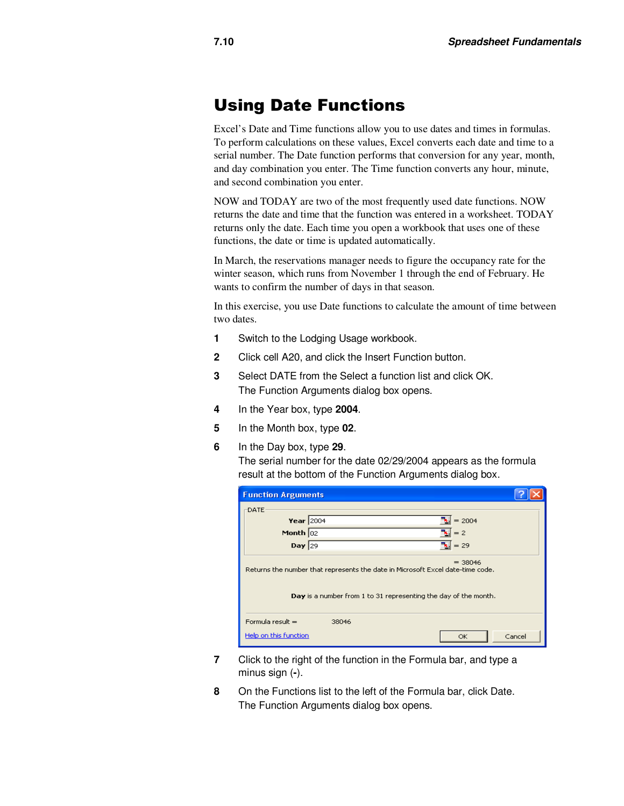## Using Date Functions

Excel's Date and Time functions allow you to use dates and times in formulas. To perform calculations on these values, Excel converts each date and time to a serial number. The Date function performs that conversion for any year, month, and day combination you enter. The Time function converts any hour, minute, and second combination you enter.

NOW and TODAY are two of the most frequently used date functions. NOW returns the date and time that the function was entered in a worksheet. TODAY returns only the date. Each time you open a workbook that uses one of these functions, the date or time is updated automatically.

In March, the reservations manager needs to figure the occupancy rate for the winter season, which runs from November 1 through the end of February. He wants to confirm the number of days in that season.

In this exercise, you use Date functions to calculate the amount of time between two dates.

- **1** Switch to the Lodging Usage workbook.
- **2** Click cell A20, and click the Insert Function button.
- **3** Select DATE from the Select a function list and click OK. The Function Arguments dialog box opens.
- **4** In the Year box, type **2004**.
- **5** In the Month box, type **02**.
- **6** In the Day box, type **29**.

The serial number for the date 02/29/2004 appears as the formula result at the bottom of the Function Arguments dialog box.

| <b>Function Arguments</b> |                                                                                                                                                   |                    |  |
|---------------------------|---------------------------------------------------------------------------------------------------------------------------------------------------|--------------------|--|
| DATE                      |                                                                                                                                                   |                    |  |
| Year $2004$               |                                                                                                                                                   | $= 2004$           |  |
| Month $02$                |                                                                                                                                                   | $= 2$              |  |
| Day $\sqrt{29}$           |                                                                                                                                                   | $\frac{1}{2}$ = 29 |  |
|                           | Returns the number that represents the date in Microsoft Excel date-time code.<br>Day is a number from 1 to 31 representing the day of the month. | $= 38046$          |  |
| Formula result $=$        | 38046                                                                                                                                             |                    |  |
| Help on this function     |                                                                                                                                                   | Cancel<br>OK       |  |

- **7** Click to the right of the function in the Formula bar, and type a minus sign (**-**).
- **8** On the Functions list to the left of the Formula bar, click Date. The Function Arguments dialog box opens.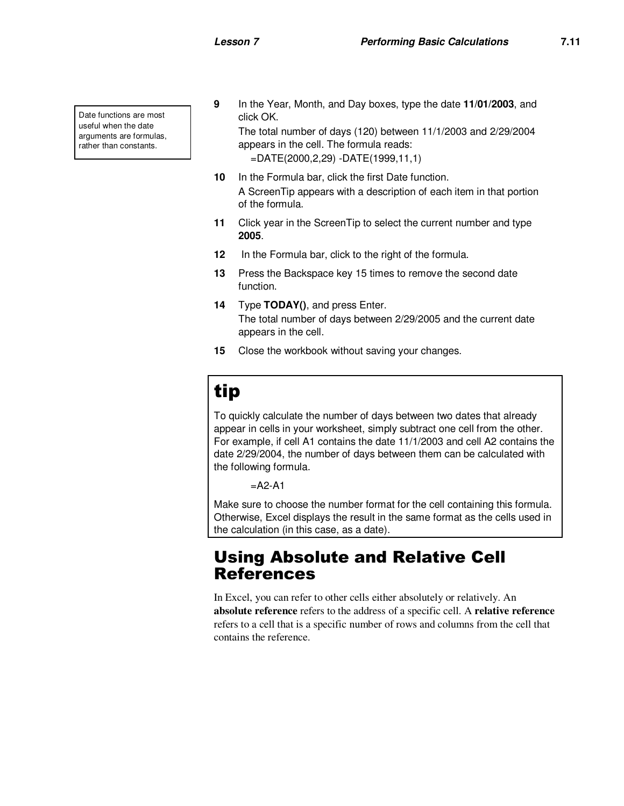Date functions are most useful when the date arguments are formulas, rather than constants.

**9** In the Year, Month, and Day boxes, type the date **11/01/2003**, and click OK.

The total number of days (120) between 11/1/2003 and 2/29/2004 appears in the cell. The formula reads: =DATE(2000,2,29) -DATE(1999,11,1)

- **10** In the Formula bar, click the first Date function. A ScreenTip appears with a description of each item in that portion of the formula.
- **11** Click year in the ScreenTip to select the current number and type **2005**.
- **12** In the Formula bar, click to the right of the formula.
- **13** Press the Backspace key 15 times to remove the second date function.
- **14** Type **TODAY()**, and press Enter. The total number of days between 2/29/2005 and the current date appears in the cell.
- **15** Close the workbook without saving your changes.

## tip

To quickly calculate the number of days between two dates that already appear in cells in your worksheet, simply subtract one cell from the other. For example, if cell A1 contains the date 11/1/2003 and cell A2 contains the date 2/29/2004, the number of days between them can be calculated with the following formula.

 $=$ A2-A1

Make sure to choose the number format for the cell containing this formula. Otherwise, Excel displays the result in the same format as the cells used in the calculation (in this case, as a date).

## Using Absolute and Relative Cell References

In Excel, you can refer to other cells either absolutely or relatively. An **absolute reference** refers to the address of a specific cell. A **relative reference** refers to a cell that is a specific number of rows and columns from the cell that contains the reference.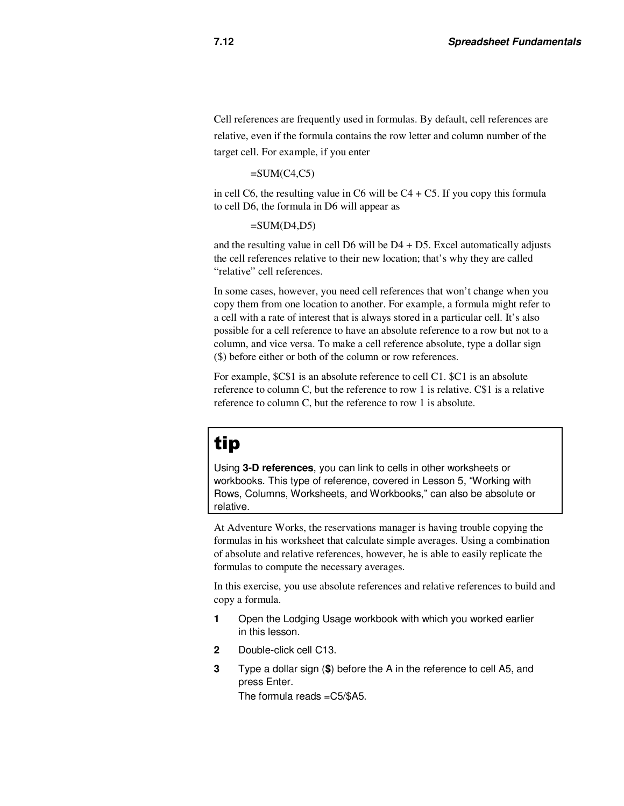Cell references are frequently used in formulas. By default, cell references are relative, even if the formula contains the row letter and column number of the target cell. For example, if you enter

#### $=SUM(C4, C5)$

in cell C6, the resulting value in C6 will be  $C4 + C5$ . If you copy this formula to cell D6, the formula in D6 will appear as

#### $=$ SUM(D4,D5)

and the resulting value in cell  $D6$  will be  $D4 + D5$ . Excel automatically adjusts the cell references relative to their new location; that's why they are called "relative" cell references.

In some cases, however, you need cell references that won't change when you copy them from one location to another. For example, a formula might refer to a cell with a rate of interest that is always stored in a particular cell. It's also possible for a cell reference to have an absolute reference to a row but not to a column, and vice versa. To make a cell reference absolute, type a dollar sign (\$) before either or both of the column or row references.

For example, \$C\$1 is an absolute reference to cell C1. \$C1 is an absolute reference to column C, but the reference to row 1 is relative. C\$1 is a relative reference to column C, but the reference to row 1 is absolute.

## tip

Using **3-D references**, you can link to cells in other worksheets or workbooks. This type of reference, covered in Lesson 5, "Working with Rows, Columns, Worksheets, and Workbooks," can also be absolute or relative.

At Adventure Works, the reservations manager is having trouble copying the formulas in his worksheet that calculate simple averages. Using a combination of absolute and relative references, however, he is able to easily replicate the formulas to compute the necessary averages.

In this exercise, you use absolute references and relative references to build and copy a formula.

- **1** Open the Lodging Usage workbook with which you worked earlier in this lesson.
- **2** Double-click cell C13.
- **3** Type a dollar sign (**\$**) before the A in the reference to cell A5, and press Enter. The formula reads =C5/\$A5.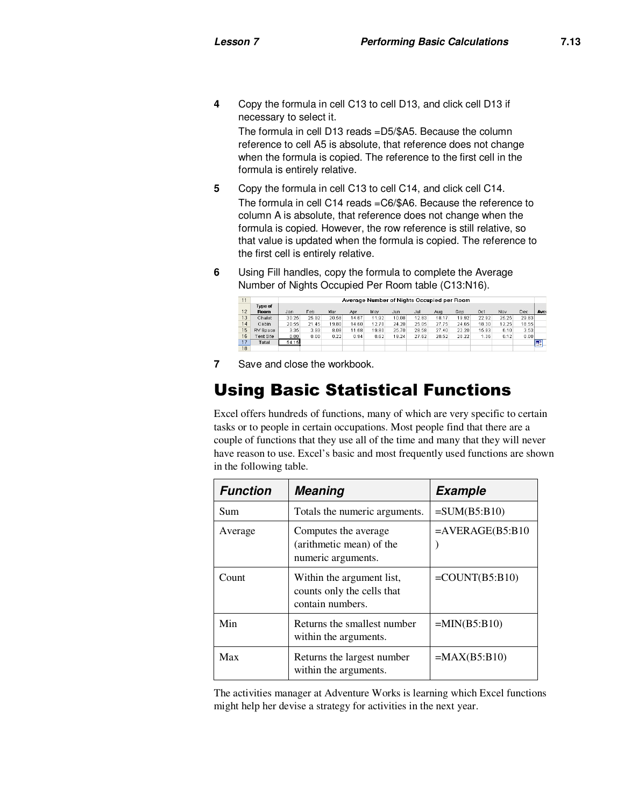**4** Copy the formula in cell C13 to cell D13, and click cell D13 if necessary to select it.

The formula in cell D13 reads =D5/\$A5. Because the column reference to cell A5 is absolute, that reference does not change when the formula is copied. The reference to the first cell in the formula is entirely relative.

- **5** Copy the formula in cell C13 to cell C14, and click cell C14. The formula in cell C14 reads =C6/\$A6. Because the reference to column A is absolute, that reference does not change when the formula is copied. However, the row reference is still relative, so that value is updated when the formula is copied. The reference to the first cell is entirely relative.
- **6** Using Fill handles, copy the formula to complete the Average Number of Nights Occupied Per Room table (C13:N16).

| 11 |                  |       | Average Number of Nights Occupied per Room |       |       |       |       |       |       |       |       |       |       |      |
|----|------------------|-------|--------------------------------------------|-------|-------|-------|-------|-------|-------|-------|-------|-------|-------|------|
|    | <b>Type of</b>   |       |                                            |       |       |       |       |       |       |       |       |       |       |      |
| 12 | Room             | Jan   | Feb                                        | Mar   | Apr   | May   | Jun   | Jul   | Aug   | Sep   | Oct   | Nov   | Dec   | Aver |
| 13 | Chalet           | 30.25 | 25.92                                      | 20.58 | 14.67 | 11.92 | 10.08 | 12.83 | 18.17 | 19.92 | 22.92 | 25.25 | 29.83 |      |
| 14 | Cabin            | 20.55 | 21.45                                      | 19.80 | 14.60 | 12.70 | 24.20 | 25.05 | 27.75 | 24.65 | 18.30 | 12.25 | 18.55 |      |
| 15 | RV Space         | 3.35  | 3.93                                       | 8.08  | 11.68 | 19.80 | 25.70 | 28.58 | 27.40 | 22.20 | 15.93 | 6.10  | 3.53  |      |
| 16 | <b>Tent Site</b> | 0.00  | 0.00                                       | 0.22  | 0.94  | 8.62  | 19.24 | 27.62 | 28.52 | 20.22 | 1.36  | 0.12  | 0.00  |      |
| 17 | Total            | 54.15 |                                            |       |       |       |       |       |       |       |       |       |       | E    |
| 18 |                  |       |                                            |       |       |       |       |       |       |       |       |       |       |      |

**7** Save and close the workbook.

## Using Basic Statistical Functions

Excel offers hundreds of functions, many of which are very specific to certain tasks or to people in certain occupations. Most people find that there are a couple of functions that they use all of the time and many that they will never have reason to use. Excel's basic and most frequently used functions are shown in the following table.

| <b>Function</b> | <b>Example</b>                                                              |                    |  |
|-----------------|-----------------------------------------------------------------------------|--------------------|--|
| Sum             | Totals the numeric arguments.                                               | $=SUM(B5:B10)$     |  |
| Average         | Computes the average<br>(arithmetic mean) of the<br>numeric arguments.      | $=$ AVERAGE(B5:B10 |  |
| Count           | Within the argument list,<br>counts only the cells that<br>contain numbers. | $=$ COUNT(B5:B10)  |  |
| Min             | Returns the smallest number<br>within the arguments.                        | $=MIN(B5:B10)$     |  |
| Max             | Returns the largest number<br>within the arguments.                         | $=MAX(B5:B10)$     |  |

The activities manager at Adventure Works is learning which Excel functions might help her devise a strategy for activities in the next year.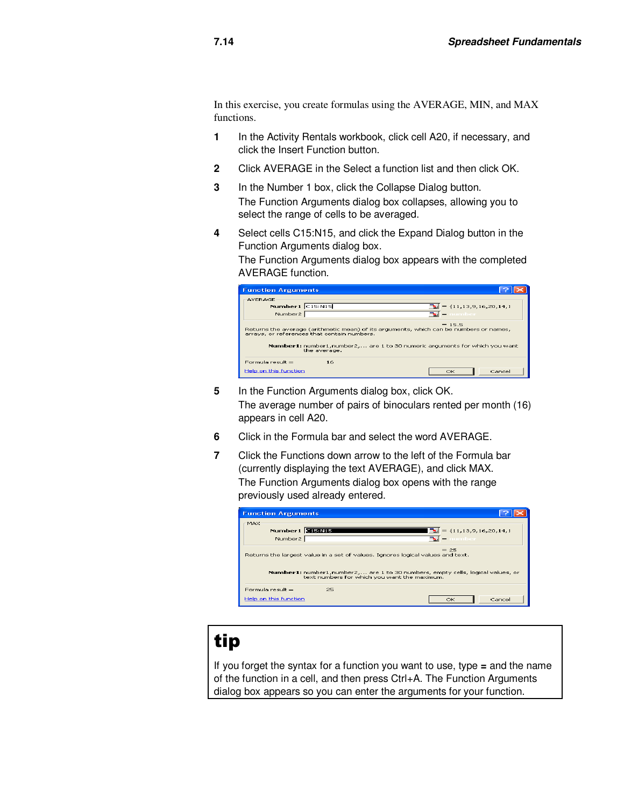In this exercise, you create formulas using the AVERAGE, MIN, and MAX functions.

- **1** In the Activity Rentals workbook, click cell A20, if necessary, and click the Insert Function button.
- **2** Click AVERAGE in the Select a function list and then click OK.
- **3** In the Number 1 box, click the Collapse Dialog button. The Function Arguments dialog box collapses, allowing you to select the range of cells to be averaged.
- **4** Select cells C15:N15, and click the Expand Dialog button in the Function Arguments dialog box.

The Function Arguments dialog box appears with the completed AVERAGE function.

| <b>Function Arguments</b>                           |                                                             |                                                                                                                                                                                    |
|-----------------------------------------------------|-------------------------------------------------------------|------------------------------------------------------------------------------------------------------------------------------------------------------------------------------------|
| AVERAGE<br>Number1 $C15:N15$<br>Number <sub>2</sub> |                                                             | $\mathbb{E} = \{11, 13, 9, 16, 20, 14, 1$<br>$\mathbf{E}$ $\mathbf{E}$ number                                                                                                      |
|                                                     | arrays, or references that contain numbers.<br>the average. | $= 15.5$<br>Returns the average (arithmetic mean) of its arguments, which can be numbers or names,<br>Number1: number1, number2,  are 1 to 30 numeric arguments for which you want |
| Formula result =<br>Help on this function           | 16                                                          | Cancel<br>OK                                                                                                                                                                       |

- **5** In the Function Arguments dialog box, click OK. The average number of pairs of binoculars rented per month (16) appears in cell A20.
- **6** Click in the Formula bar and select the word AVERAGE.
- **7** Click the Functions down arrow to the left of the Formula bar (currently displaying the text AVERAGE), and click MAX. The Function Arguments dialog box opens with the range previously used already entered.

| <b>Function Arguments</b>                                                                                                      |                                                         |
|--------------------------------------------------------------------------------------------------------------------------------|---------------------------------------------------------|
| MAX<br>Number1 3159915<br>Number <sub>2</sub>                                                                                  | $\mathbb{E} = \{11, 13, 9, 16, 20, 14, 1$<br>™ = number |
| Returns the largest value in a set of values. Ignores logical values and text.                                                 | $= 25$                                                  |
| Number1: number1,number2, are 1 to 30 numbers, empty cells, logical values, or<br>text numbers for which you want the maximum. |                                                         |
| Formula result =<br>25                                                                                                         |                                                         |
| Help on this function                                                                                                          | Cancel<br>OK                                            |

## tip

If you forget the syntax for a function you want to use, type **=** and the name of the function in a cell, and then press Ctrl+A. The Function Arguments dialog box appears so you can enter the arguments for your function.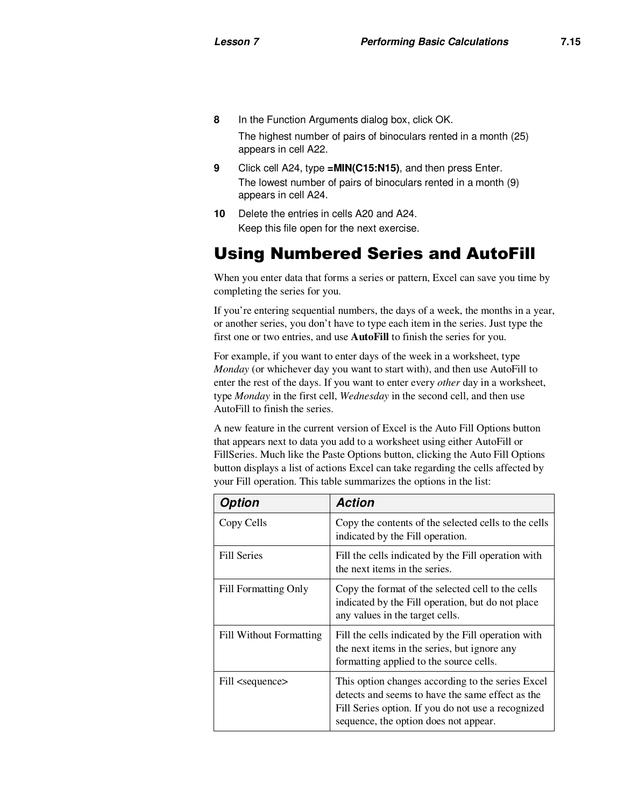**8** In the Function Arguments dialog box, click OK.

The highest number of pairs of binoculars rented in a month (25) appears in cell A22.

- **9** Click cell A24, type **=MIN(C15:N15)**, and then press Enter. The lowest number of pairs of binoculars rented in a month (9) appears in cell A24.
- **10** Delete the entries in cells A20 and A24. Keep this file open for the next exercise.

## Using Numbered Series and AutoFill

When you enter data that forms a series or pattern, Excel can save you time by completing the series for you.

If you're entering sequential numbers, the days of a week, the months in a year, or another series, you don't have to type each item in the series. Just type the first one or two entries, and use **AutoFill** to finish the series for you.

For example, if you want to enter days of the week in a worksheet, type *Monday* (or whichever day you want to start with), and then use AutoFill to enter the rest of the days. If you want to enter every *other* day in a worksheet, type *Monday* in the first cell, *Wednesday* in the second cell, and then use AutoFill to finish the series.

A new feature in the current version of Excel is the Auto Fill Options button that appears next to data you add to a worksheet using either AutoFill or FillSeries. Much like the Paste Options button, clicking the Auto Fill Options button displays a list of actions Excel can take regarding the cells affected by your Fill operation. This table summarizes the options in the list:

| <b>Option</b>                  | <b>Action</b>                                                                                                                                                                                        |  |
|--------------------------------|------------------------------------------------------------------------------------------------------------------------------------------------------------------------------------------------------|--|
| Copy Cells                     | Copy the contents of the selected cells to the cells<br>indicated by the Fill operation.                                                                                                             |  |
| <b>Fill Series</b>             | Fill the cells indicated by the Fill operation with<br>the next items in the series.                                                                                                                 |  |
| <b>Fill Formatting Only</b>    | Copy the format of the selected cell to the cells<br>indicated by the Fill operation, but do not place<br>any values in the target cells.                                                            |  |
| <b>Fill Without Formatting</b> | Fill the cells indicated by the Fill operation with<br>the next items in the series, but ignore any<br>formatting applied to the source cells.                                                       |  |
| Fill <sequence></sequence>     | This option changes according to the series Excel<br>detects and seems to have the same effect as the<br>Fill Series option. If you do not use a recognized<br>sequence, the option does not appear. |  |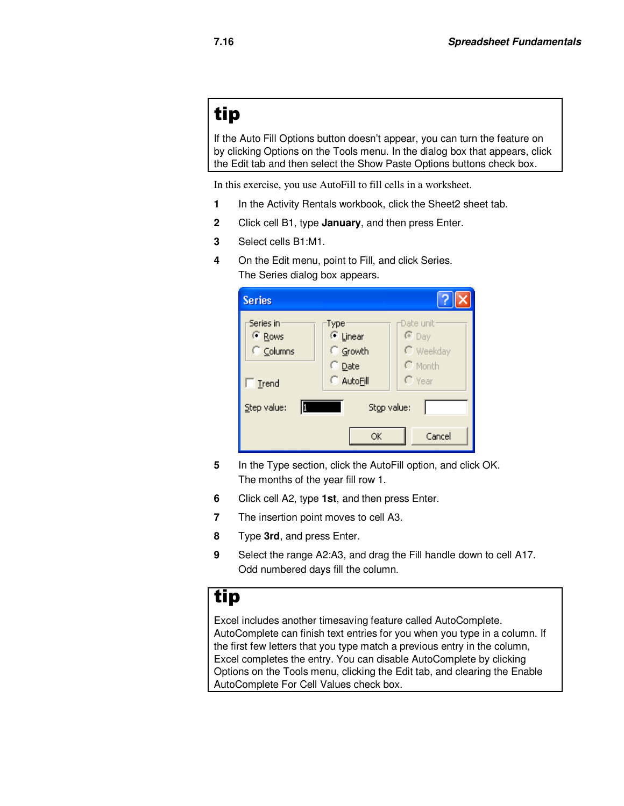## tip

If the Auto Fill Options button doesn't appear, you can turn the feature on by clicking Options on the Tools menu. In the dialog box that appears, click the Edit tab and then select the Show Paste Options buttons check box.

In this exercise, you use AutoFill to fill cells in a worksheet.

- **1** In the Activity Rentals workbook, click the Sheet2 sheet tab.
- **2** Click cell B1, type **January**, and then press Enter.
- **3** Select cells B1:M1.
- **4** On the Edit menu, point to Fill, and click Series. The Series dialog box appears.

| <b>Series</b>                                |                                                 |                                                            |
|----------------------------------------------|-------------------------------------------------|------------------------------------------------------------|
| Series in:<br><sup>(</sup> Rows<br>C Columns | Type:<br>⊕ Linear<br>C Growth<br>$\subset$ Date | -Date unit:<br>$C$ Day<br>$\Gamma$ Weekday<br>$\cap$ Month |
| Trend<br>Step value:                         | C AutoFill<br>Stop value:<br>ОК                 | $\Gamma$ Year<br>Cancel                                    |

- **5** In the Type section, click the AutoFill option, and click OK. The months of the year fill row 1.
- **6** Click cell A2, type **1st**, and then press Enter.
- **7** The insertion point moves to cell A3.
- **8** Type **3rd**, and press Enter.
- **9** Select the range A2:A3, and drag the Fill handle down to cell A17. Odd numbered days fill the column.

### tip

Excel includes another timesaving feature called AutoComplete. AutoComplete can finish text entries for you when you type in a column. If the first few letters that you type match a previous entry in the column, Excel completes the entry. You can disable AutoComplete by clicking Options on the Tools menu, clicking the Edit tab, and clearing the Enable AutoComplete For Cell Values check box.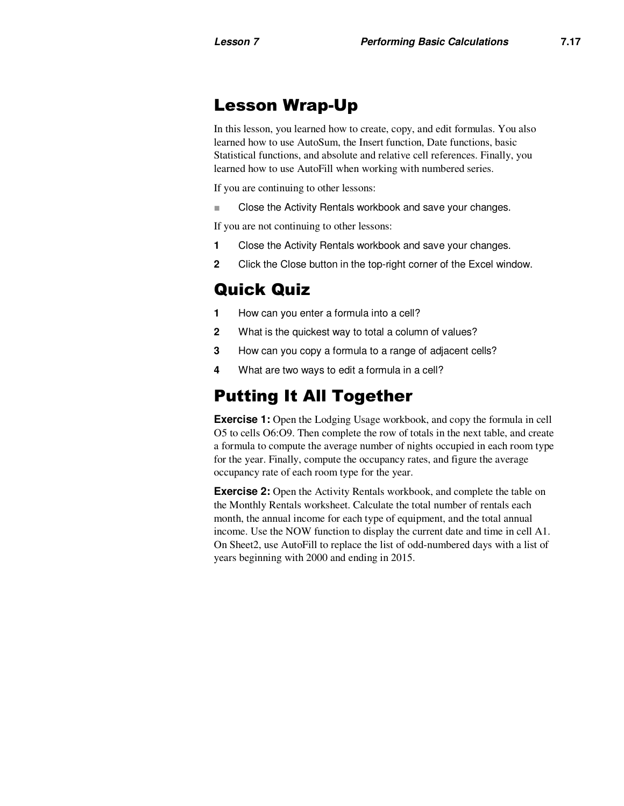## Lesson Wrap-Up

In this lesson, you learned how to create, copy, and edit formulas. You also learned how to use AutoSum, the Insert function, Date functions, basic Statistical functions, and absolute and relative cell references. Finally, you learned how to use AutoFill when working with numbered series.

If you are continuing to other lessons:

■ Close the Activity Rentals workbook and save your changes.

If you are not continuing to other lessons:

- **1** Close the Activity Rentals workbook and save your changes.
- **2** Click the Close button in the top-right corner of the Excel window.

## Quick Quiz

- **1** How can you enter a formula into a cell?
- **2** What is the quickest way to total a column of values?
- **3** How can you copy a formula to a range of adjacent cells?
- **4** What are two ways to edit a formula in a cell?

## Putting It All Together

**Exercise 1:** Open the Lodging Usage workbook, and copy the formula in cell O5 to cells O6:O9. Then complete the row of totals in the next table, and create a formula to compute the average number of nights occupied in each room type for the year. Finally, compute the occupancy rates, and figure the average occupancy rate of each room type for the year.

**Exercise 2:** Open the Activity Rentals workbook, and complete the table on the Monthly Rentals worksheet. Calculate the total number of rentals each month, the annual income for each type of equipment, and the total annual income. Use the NOW function to display the current date and time in cell A1. On Sheet2, use AutoFill to replace the list of odd-numbered days with a list of years beginning with 2000 and ending in 2015.